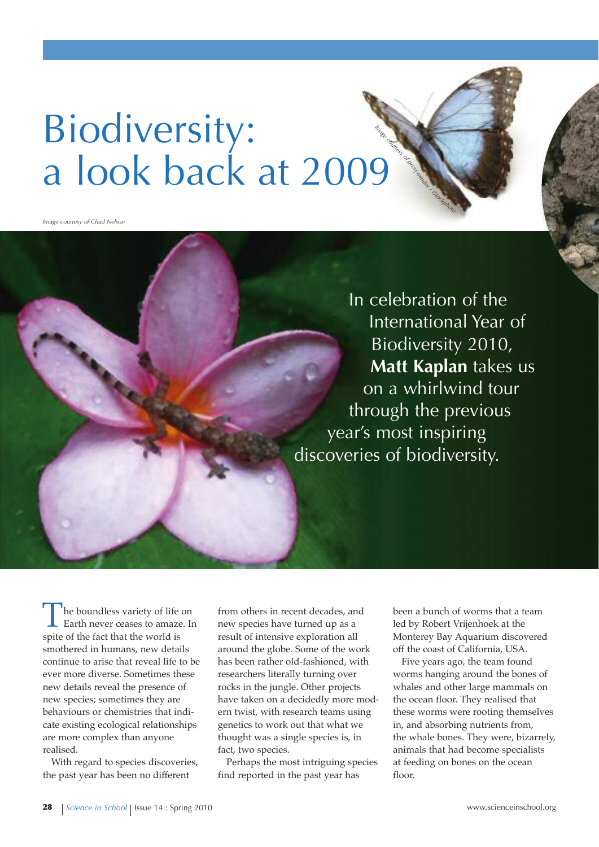## Biodiversity: a look back at 2009 AND AND STRAIGHT

*Image courtesy of Chad Nelson*

In celebration of the International Year of Biodiversity 2010, **Matt kaplan** takes us on a whirlwind tour through the previous year's most inspiring discoveries of biodiversity.

The boundless variety of life on<br>Earth never ceases to amaze. In spite of the fact that the world is smothered in humans, new details continue to arise that reveal life to be ever more diverse. Sometimes these new details reveal the presence of new species; sometimes they are behaviours or chemistries that indicate existing ecological relationships are more complex than anyone realised.

With regard to species discoveries, the past year has been no different

from others in recent decades, and new species have turned up as a result of intensive exploration all around the globe. Some of the work has been rather old-fashioned, with researchers literally turning over rocks in the jungle. Other projects have taken on a decidedly more modern twist, with research teams using genetics to work out that what we thought was a single species is, in fact, two species.

Perhaps the most intriguing species find reported in the past year has

been a bunch of worms that a team led by Robert Vrijenhoek at the Monterey Bay Aquarium discovered off the coast of California, USA.

Five years ago, the team found worms hanging around the bones of whales and other large mammals on the ocean floor. They realised that these worms were rooting themselves in, and absorbing nutrients from, the whale bones. They were, bizarrely, animals that had become specialists at feeding on bones on the ocean floor.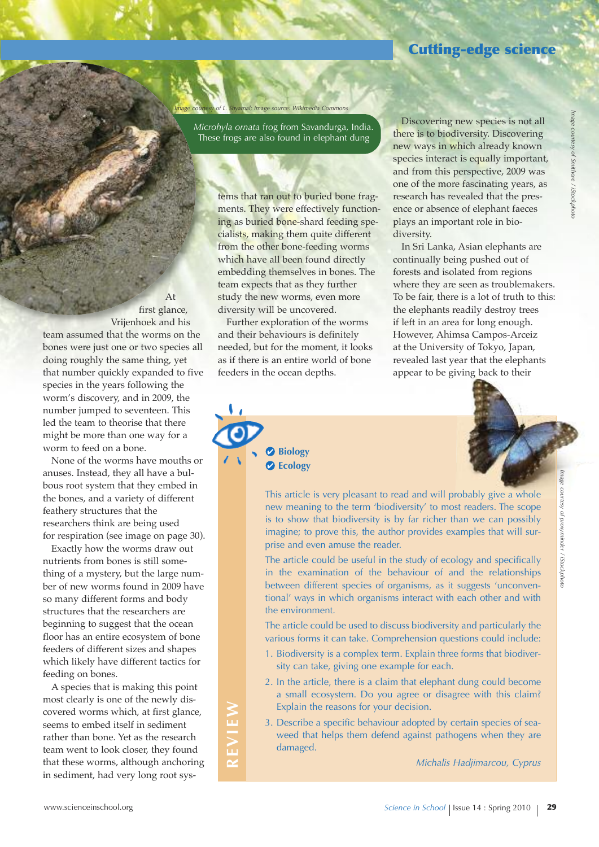## **Cutting-edge science**

*Microhyla ornata* frog from Savandurga, India. These frogs are also found in elephant dung

*Image courtesy of L. Shyamal; image source: Wikimedia Commons*

tems that ran out to buried bone fragments. They were effectively functioning as buried bone-shard feeding specialists, making them quite different from the other bone-feeding worms which have all been found directly embedding themselves in bones. The team expects that as they further study the new worms, even more diversity will be uncovered.

Further exploration of the worms and their behaviours is definitely needed, but for the moment, it looks as if there is an entire world of bone feeders in the ocean depths.

> **Biology Ecology**

Discovering new species is not all there is to biodiversity. Discovering new ways in which already known species interact is equally important, and from this perspective, 2009 was one of the more fascinating years, as research has revealed that the presence or absence of elephant faeces plays an important role in biodiversity.

In Sri Lanka, Asian elephants are continually being pushed out of forests and isolated from regions where they are seen as troublemakers. To be fair, there is a lot of truth to this: the elephants readily destroy trees if left in an area for long enough. However, Ahimsa Campos-Arceiz at the University of Tokyo, Japan, revealed last year that the elephants appear to be giving back to their

*Image courtesy of proxyminder / iStockphoto* *Image*

*courtesy of Smithore /*

*iStockphoto*

This article is very pleasant to read and will probably give a whole new meaning to the term 'biodiversity' to most readers. The scope is to show that biodiversity is by far richer than we can possibly imagine; to prove this, the author provides examples that will surprise and even amuse the reader.

The article could be useful in the study of ecology and specifically in the examination of the behaviour of and the relationships between different species of organisms, as it suggests 'unconventional' ways in which organisms interact with each other and with the environment.

The article could be used to discuss biodiversity and particularly the various forms it can take. Comprehension questions could include:

- 1. Biodiversity is a complex term. Explain three forms that biodiversity can take, giving one example for each.
- 2. In the article, there is a claim that elephant dung could become a small ecosystem. Do you agree or disagree with this claim? Explain the reasons for your decision.
- 3. Describe a specific behaviour adopted by certain species of seaweed that helps them defend against pathogens when they are damaged.

*Michalis Hadjimarcou, Cyprus*

At first glance, Vrijenhoek and his team assumed that the worms on the bones were just one or two species all doing roughly the same thing, yet that number quickly expanded to five species in the years following the worm's discovery, and in 2009, the number jumped to seventeen. This led the team to theorise that there might be more than one way for a worm to feed on a bone.

None of the worms have mouths or anuses. Instead, they all have a bulbous root system that they embed in the bones, and a variety of different feathery structures that the researchers think are being used for respiration (see image on page 30).

Exactly how the worms draw out nutrients from bones is still something of a mystery, but the large number of new worms found in 2009 have so many different forms and body structures that the researchers are beginning to suggest that the ocean floor has an entire ecosystem of bone feeders of different sizes and shapes which likely have different tactics for feeding on bones.

A species that is making this point most clearly is one of the newly discovered worms which, at first glance, seems to embed itself in sediment rather than bone. Yet as the research team went to look closer, they found that these worms, although anchoring in sediment, had very long root sys-

**RE**

**vIE**

**W**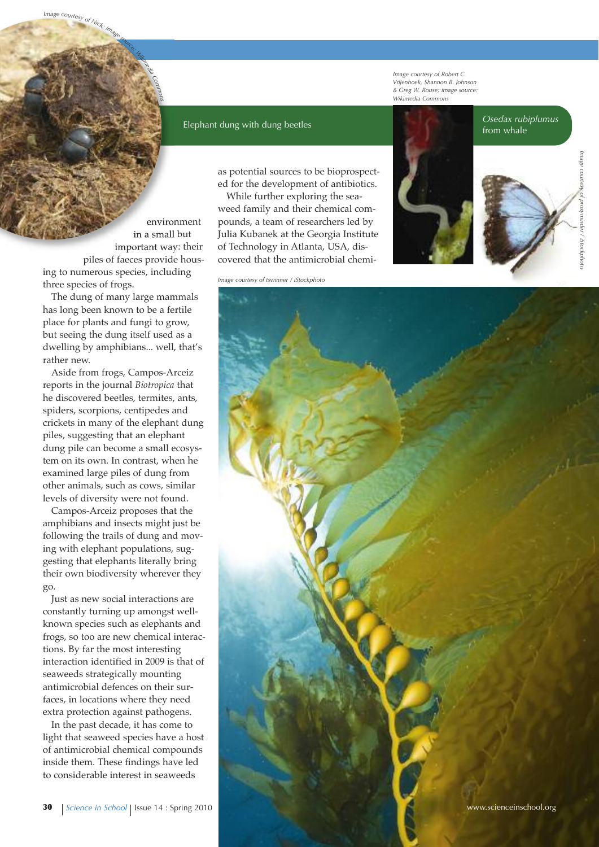*Image courtesy of Robert C. Vrijenhoek, Shannon B. Johnson & Greg W. Rouse; image source: Wikimedia Commons*

## *Osedax rubiplumus* from whale

*Image courtesy of proxyminder* proxyminder / iStockphota *iStockphoto*

environment in a small but important way: their piles of faeces provide housing to numerous species, including three species of frogs.

*Commons*

Image courtesy of Nick

The dung of many large mammals has long been known to be a fertile place for plants and fungi to grow, but seeing the dung itself used as a dwelling by amphibians... well, that's rather new.

Aside from frogs, Campos-Arceiz reports in the journal *Biotropica* that he discovered beetles, termites, ants, spiders, scorpions, centipedes and crickets in many of the elephant dung piles, suggesting that an elephant dung pile can become a small ecosystem on its own. In contrast, when he examined large piles of dung from other animals, such as cows, similar levels of diversity were not found.

Campos-Arceiz proposes that the amphibians and insects might just be following the trails of dung and moving with elephant populations, suggesting that elephants literally bring their own biodiversity wherever they go.

Just as new social interactions are constantly turning up amongst wellknown species such as elephants and frogs, so too are new chemical interactions. By far the most interesting interaction identified in 2009 is that of seaweeds strategically mounting antimicrobial defences on their surfaces, in locations where they need extra protection against pathogens.

In the past decade, it has come to light that seaweed species have a host of antimicrobial chemical compounds inside them. These findings have led to considerable interest in seaweeds

as potential sources to be bioprospected for the development of antibiotics.

While further exploring the seaweed family and their chemical compounds, a team of researchers led by Julia Kubanek at the Georgia Institute of Technology in Atlanta, USA, discovered that the antimicrobial chemi-

Elephant dung with dung beetles